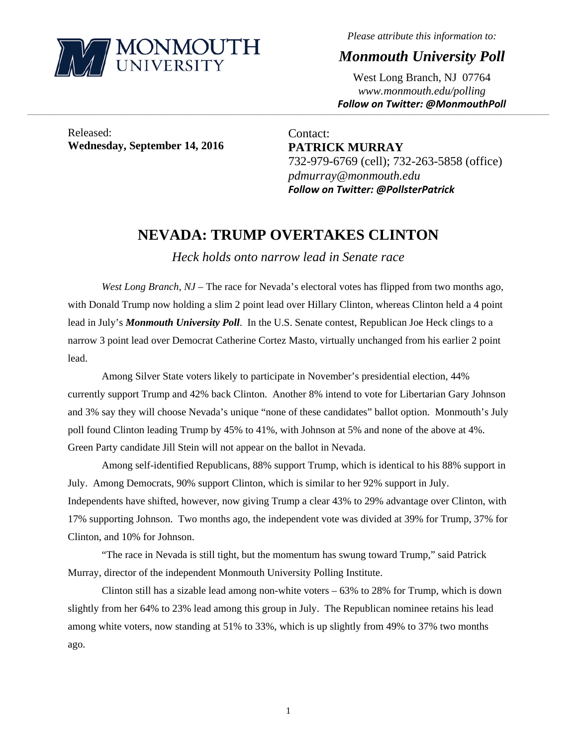

*Please attribute this information to:* 

*Monmouth University Poll* 

West Long Branch, NJ 07764 *www.monmouth.edu/polling Follow on Twitter: @MonmouthPoll*

Released: **Wednesday, September 14, 2016** 

Contact: **PATRICK MURRAY**  732-979-6769 (cell); 732-263-5858 (office) *pdmurray@monmouth.edu Follow on Twitter: @PollsterPatrick*

# **NEVADA: TRUMP OVERTAKES CLINTON**

,一个人的人都是不是,我们的人都是不是,我们的人都是不是,我们的人都是不是,我们的人都是不是,我们的人都是不是,我们的人都是不是,我们的人都是不是,我们的人都是不

*Heck holds onto narrow lead in Senate race* 

*West Long Branch, NJ* – The race for Nevada's electoral votes has flipped from two months ago, with Donald Trump now holding a slim 2 point lead over Hillary Clinton, whereas Clinton held a 4 point lead in July's *Monmouth University Poll*. In the U.S. Senate contest, Republican Joe Heck clings to a narrow 3 point lead over Democrat Catherine Cortez Masto, virtually unchanged from his earlier 2 point lead.

 Among Silver State voters likely to participate in November's presidential election, 44% currently support Trump and 42% back Clinton. Another 8% intend to vote for Libertarian Gary Johnson and 3% say they will choose Nevada's unique "none of these candidates" ballot option. Monmouth's July poll found Clinton leading Trump by 45% to 41%, with Johnson at 5% and none of the above at 4%. Green Party candidate Jill Stein will not appear on the ballot in Nevada.

Among self-identified Republicans, 88% support Trump, which is identical to his 88% support in July. Among Democrats, 90% support Clinton, which is similar to her 92% support in July. Independents have shifted, however, now giving Trump a clear 43% to 29% advantage over Clinton, with 17% supporting Johnson. Two months ago, the independent vote was divided at 39% for Trump, 37% for Clinton, and 10% for Johnson.

"The race in Nevada is still tight, but the momentum has swung toward Trump," said Patrick Murray, director of the independent Monmouth University Polling Institute.

Clinton still has a sizable lead among non-white voters – 63% to 28% for Trump, which is down slightly from her 64% to 23% lead among this group in July. The Republican nominee retains his lead among white voters, now standing at 51% to 33%, which is up slightly from 49% to 37% two months ago.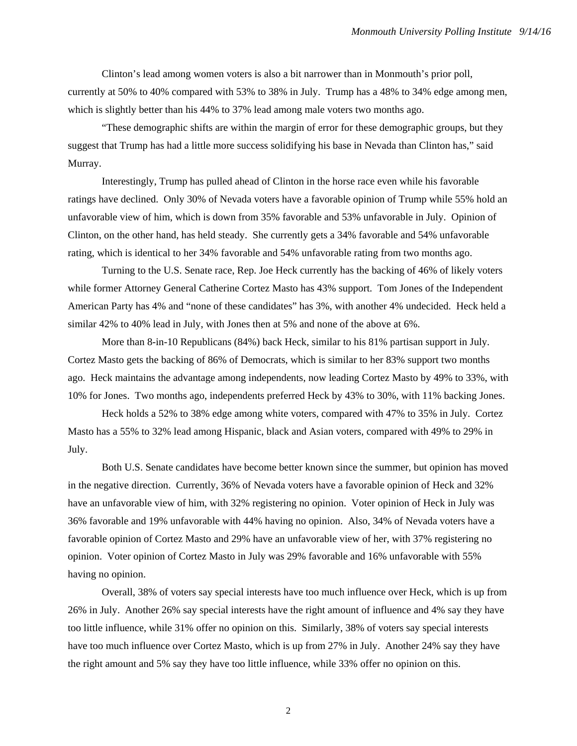Clinton's lead among women voters is also a bit narrower than in Monmouth's prior poll, currently at 50% to 40% compared with 53% to 38% in July. Trump has a 48% to 34% edge among men, which is slightly better than his 44% to 37% lead among male voters two months ago.

"These demographic shifts are within the margin of error for these demographic groups, but they suggest that Trump has had a little more success solidifying his base in Nevada than Clinton has," said Murray.

Interestingly, Trump has pulled ahead of Clinton in the horse race even while his favorable ratings have declined. Only 30% of Nevada voters have a favorable opinion of Trump while 55% hold an unfavorable view of him, which is down from 35% favorable and 53% unfavorable in July. Opinion of Clinton, on the other hand, has held steady. She currently gets a 34% favorable and 54% unfavorable rating, which is identical to her 34% favorable and 54% unfavorable rating from two months ago.

 Turning to the U.S. Senate race, Rep. Joe Heck currently has the backing of 46% of likely voters while former Attorney General Catherine Cortez Masto has 43% support. Tom Jones of the Independent American Party has 4% and "none of these candidates" has 3%, with another 4% undecided. Heck held a similar 42% to 40% lead in July, with Jones then at 5% and none of the above at 6%.

More than 8-in-10 Republicans (84%) back Heck, similar to his 81% partisan support in July. Cortez Masto gets the backing of 86% of Democrats, which is similar to her 83% support two months ago. Heck maintains the advantage among independents, now leading Cortez Masto by 49% to 33%, with 10% for Jones. Two months ago, independents preferred Heck by 43% to 30%, with 11% backing Jones.

Heck holds a 52% to 38% edge among white voters, compared with 47% to 35% in July. Cortez Masto has a 55% to 32% lead among Hispanic, black and Asian voters, compared with 49% to 29% in July.

Both U.S. Senate candidates have become better known since the summer, but opinion has moved in the negative direction. Currently, 36% of Nevada voters have a favorable opinion of Heck and 32% have an unfavorable view of him, with 32% registering no opinion. Voter opinion of Heck in July was 36% favorable and 19% unfavorable with 44% having no opinion. Also, 34% of Nevada voters have a favorable opinion of Cortez Masto and 29% have an unfavorable view of her, with 37% registering no opinion. Voter opinion of Cortez Masto in July was 29% favorable and 16% unfavorable with 55% having no opinion.

 Overall, 38% of voters say special interests have too much influence over Heck, which is up from 26% in July. Another 26% say special interests have the right amount of influence and 4% say they have too little influence, while 31% offer no opinion on this. Similarly, 38% of voters say special interests have too much influence over Cortez Masto, which is up from 27% in July. Another 24% say they have the right amount and 5% say they have too little influence, while 33% offer no opinion on this.

2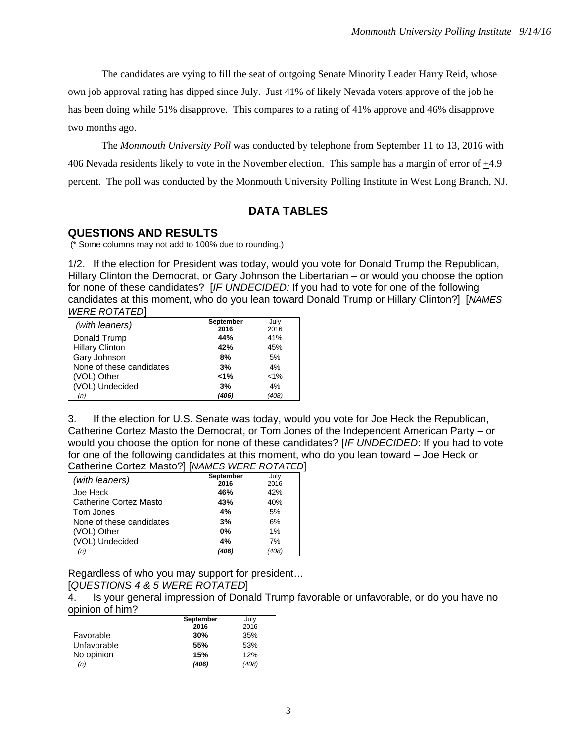The candidates are vying to fill the seat of outgoing Senate Minority Leader Harry Reid, whose own job approval rating has dipped since July. Just 41% of likely Nevada voters approve of the job he has been doing while 51% disapprove. This compares to a rating of 41% approve and 46% disapprove two months ago.

The *Monmouth University Poll* was conducted by telephone from September 11 to 13, 2016 with 406 Nevada residents likely to vote in the November election. This sample has a margin of error of +4.9 percent. The poll was conducted by the Monmouth University Polling Institute in West Long Branch, NJ.

# **DATA TABLES**

#### **QUESTIONS AND RESULTS**

(\* Some columns may not add to 100% due to rounding.)

1/2. If the election for President was today, would you vote for Donald Trump the Republican, Hillary Clinton the Democrat, or Gary Johnson the Libertarian – or would you choose the option for none of these candidates? [*IF UNDECIDED:* If you had to vote for one of the following candidates at this moment, who do you lean toward Donald Trump or Hillary Clinton?] [*NAMES WERE ROTATED*]

| (with leaners)           | September | July    |
|--------------------------|-----------|---------|
|                          | 2016      | 2016    |
| Donald Trump             | 44%       | 41%     |
| <b>Hillary Clinton</b>   | 42%       | 45%     |
| Gary Johnson             | 8%        | 5%      |
| None of these candidates | 3%        | 4%      |
| (VOL) Other              | $< 1\%$   | $< 1\%$ |
| (VOL) Undecided          | 3%        | 4%      |
| (n)                      | (406)     | (408)   |

3. If the election for U.S. Senate was today, would you vote for Joe Heck the Republican, Catherine Cortez Masto the Democrat, or Tom Jones of the Independent American Party – or would you choose the option for none of these candidates? [*IF UNDECIDED*: If you had to vote for one of the following candidates at this moment, who do you lean toward – Joe Heck or Catherine Cortez Masto?] [*NAMES WERE ROTATED*]

|                               | September | July  |
|-------------------------------|-----------|-------|
| (with leaners)                | 2016      | 2016  |
| Joe Heck                      | 46%       | 42%   |
| <b>Catherine Cortez Masto</b> | 43%       | 40%   |
| Tom Jones                     | 4%        | 5%    |
| None of these candidates      | 3%        | 6%    |
| (VOL) Other                   | 0%        | 1%    |
| (VOL) Undecided               | 4%        | 7%    |
| (n)                           | (406)     | (408) |

Regardless of who you may support for president…

#### [*QUESTIONS 4 & 5 WERE ROTATED*]

4. Is your general impression of Donald Trump favorable or unfavorable, or do you have no opinion of him?

|             | September | July  |
|-------------|-----------|-------|
|             | 2016      | 2016  |
| Favorable   | 30%       | 35%   |
| Unfavorable | 55%       | 53%   |
| No opinion  | 15%       | 12%   |
| (n)         | (406)     | (408) |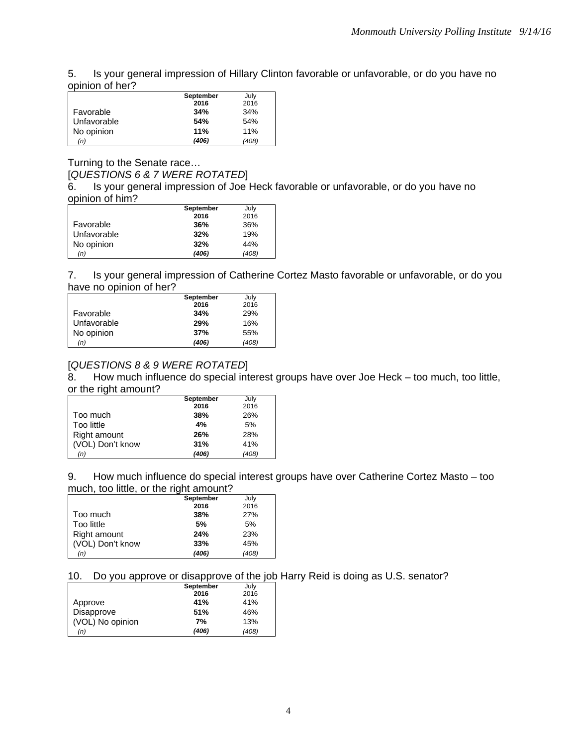5. Is your general impression of Hillary Clinton favorable or unfavorable, or do you have no opinion of her?

|             | September | July  |
|-------------|-----------|-------|
|             | 2016      | 2016  |
| Favorable   | 34%       | 34%   |
| Unfavorable | 54%       | 54%   |
| No opinion  | 11%       | 11%   |
| (n)         | (406)     | (408) |

### Turning to the Senate race… [*QUESTIONS 6 & 7 WERE ROTATED*]

6. Is your general impression of Joe Heck favorable or unfavorable, or do you have no opinion of him?

|             | September | July  |
|-------------|-----------|-------|
|             | 2016      | 2016  |
| Favorable   | 36%       | 36%   |
| Unfavorable | 32%       | 19%   |
| No opinion  | 32%       | 44%   |
| (n)         | (406)     | (408) |

7. Is your general impression of Catherine Cortez Masto favorable or unfavorable, or do you have no opinion of her?

|             | September | July  |
|-------------|-----------|-------|
|             | 2016      | 2016  |
| Favorable   | 34%       | 29%   |
| Unfavorable | 29%       | 16%   |
| No opinion  | 37%       | 55%   |
| (n)         | (406)     | (408) |

# [*QUESTIONS 8 & 9 WERE ROTATED*]

8. How much influence do special interest groups have over Joe Heck – too much, too little, or the right amount?

|                  | September | July  |
|------------------|-----------|-------|
|                  | 2016      | 2016  |
| Too much         | 38%       | 26%   |
| Too little       | 4%        | 5%    |
| Right amount     | 26%       | 28%   |
| (VOL) Don't know | 31%       | 41%   |
| (n)              | (406)     | (408) |

9. How much influence do special interest groups have over Catherine Cortez Masto – too much, too little, or the right amount?

|                  | September | July  |
|------------------|-----------|-------|
|                  | 2016      | 2016  |
| Too much         | 38%       | 27%   |
| Too little       | 5%        | 5%    |
| Right amount     | 24%       | 23%   |
| (VOL) Don't know | 33%       | 45%   |
| (n)              | (406)     | (408) |

10. Do you approve or disapprove of the job Harry Reid is doing as U.S. senator?

|                  | September | July  |
|------------------|-----------|-------|
|                  | 2016      | 2016  |
| Approve          | 41%       | 41%   |
| Disapprove       | 51%       | 46%   |
| (VOL) No opinion | 7%        | 13%   |
| (n)              | (406)     | (408) |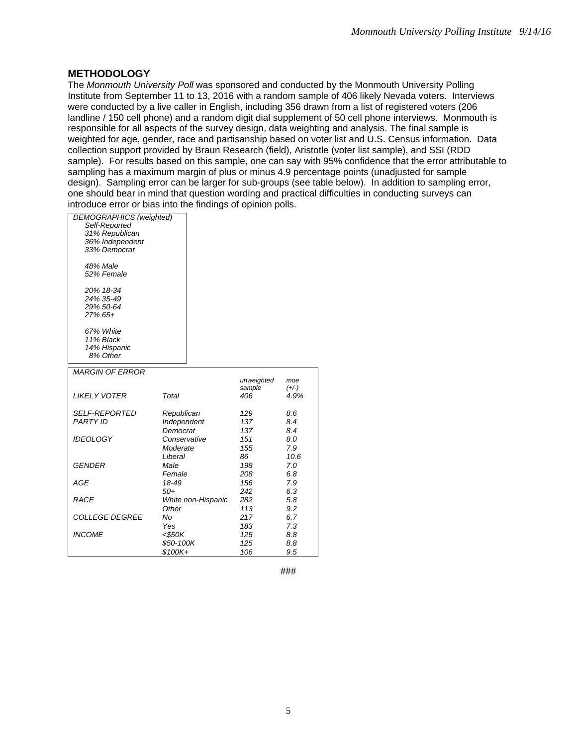## **METHODOLOGY**

The *Monmouth University Poll* was sponsored and conducted by the Monmouth University Polling Institute from September 11 to 13, 2016 with a random sample of 406 likely Nevada voters. Interviews were conducted by a live caller in English, including 356 drawn from a list of registered voters (206 landline / 150 cell phone) and a random digit dial supplement of 50 cell phone interviews. Monmouth is responsible for all aspects of the survey design, data weighting and analysis. The final sample is weighted for age, gender, race and partisanship based on voter list and U.S. Census information. Data collection support provided by Braun Research (field), Aristotle (voter list sample), and SSI (RDD sample). For results based on this sample, one can say with 95% confidence that the error attributable to sampling has a maximum margin of plus or minus 4.9 percentage points (unadjusted for sample design). Sampling error can be larger for sub-groups (see table below). In addition to sampling error, one should bear in mind that question wording and practical difficulties in conducting surveys can introduce error or bias into the findings of opinion polls.

| <b>DEMOGRAPHICS</b> (weighted) |                    |            |         |
|--------------------------------|--------------------|------------|---------|
| Self-Reported                  |                    |            |         |
| 31% Republican                 |                    |            |         |
| 36% Independent                |                    |            |         |
| 33% Democrat                   |                    |            |         |
|                                |                    |            |         |
| <b>48% Male</b>                |                    |            |         |
| 52% Female                     |                    |            |         |
|                                |                    |            |         |
| 20% 18-34                      |                    |            |         |
| 24% 35-49                      |                    |            |         |
| 29% 50-64                      |                    |            |         |
| 27% 65+                        |                    |            |         |
| 67% White                      |                    |            |         |
| 11% Black                      |                    |            |         |
| 14% Hispanic                   |                    |            |         |
| 8% Other                       |                    |            |         |
|                                |                    |            |         |
| <b>MARGIN OF ERROR</b>         |                    |            |         |
|                                |                    | unweighted | moe     |
|                                |                    | sample     | $(+/-)$ |
| <b>LIKELY VOTER</b>            | Total              | 406        | 4.9%    |
| <b>SELF-REPORTED</b>           | Republican         | 129        | 8.6     |
| <b>PARTY ID</b>                | Independent        | 137        | 8.4     |
|                                | Democrat           | 137        | 8.4     |
| <b>IDEOLOGY</b>                | Conservative       | 151        | 8.0     |
|                                | Moderate           | 155        | 7.9     |
|                                | Liberal            | 86         | 10.6    |
| <b>GENDER</b>                  | Male               | 198        | 7.0     |
|                                | Female             | 208        | 6.8     |
|                                |                    |            |         |
| <b>AGE</b>                     | 18-49              | 156        | 7.9     |
|                                | $50+$              | 242        | 6.3     |
| <b>RACE</b>                    | White non-Hispanic | 282        | 5.8     |
|                                | Other              | 113        | 9.2     |
| <b>COLLEGE DEGREE</b>          | No                 | 217        | 6.7     |
|                                | Yes                | 183        | 7.3     |
| <b>INCOME</b>                  | <\$50K             | 125        | 8.8     |
|                                | \$50-100K          | 125        | 8.8     |
|                                | \$100K+            | 106        | 9.5     |

###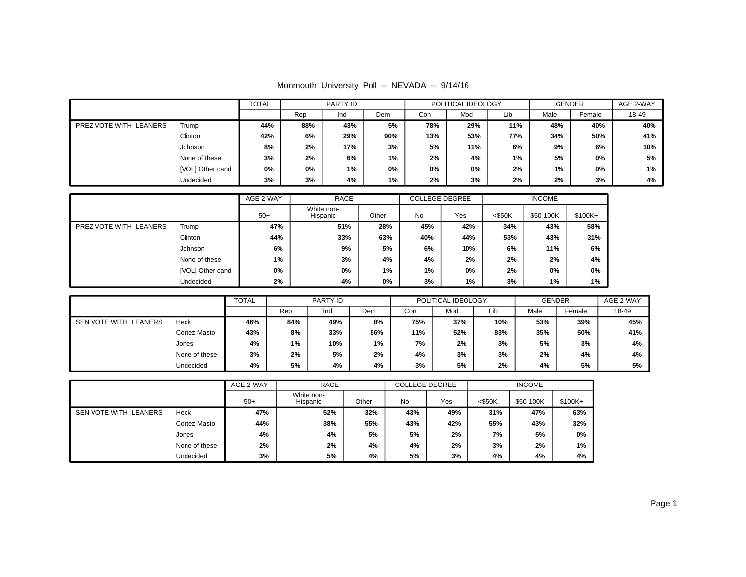| Monmouth University Poll -- NEVADA -- 9/14/16 |  |  |  |  |  |  |
|-----------------------------------------------|--|--|--|--|--|--|
|-----------------------------------------------|--|--|--|--|--|--|

|                        |                  | <b>TOTAL</b> | PARTY ID |     | POLITICAL IDEOLOGY |     |     | <b>GENDER</b> |      | AGE 2-WAY |       |
|------------------------|------------------|--------------|----------|-----|--------------------|-----|-----|---------------|------|-----------|-------|
|                        |                  |              | Rep      | Ind | Dem                | Con | Mod | Lib           | Male | Female    | 18-49 |
| PREZ VOTE WITH LEANERS | Trump            | 44%          | 88%      | 43% | 5%                 | 78% | 29% | 11%           | 48%  | 40%       | 40%   |
|                        | Clinton          | 42%          | 6%       | 29% | 90%                | 13% | 53% | 77%           | 34%  | 50%       | 41%   |
|                        | Johnson          | 8%           | 2%       | 17% | 3%                 | 5%  | 11% | 6%            | 9%   | 6%        | 10%   |
|                        | None of these    | 3%           | 2%       | 6%  | 1%                 | 2%  | 4%  | $1\%$         | 5%   | 0%        | 5%    |
|                        | [VOL] Other cand | 0%           | 0%       | 1%  | 0%                 | 0%  | 0%  | 2%            | 1%   | 0%        | 1%    |
|                        | Undecided        | 3%           | 3%       | 4%  | 1%                 | 2%  | 3%  | 2%            | 2%   | 3%        | 4%    |

|                        |                  | AGE 2-WAY | <b>RACE</b>            |       |     | <b>COLLEGE DEGREE</b> | <b>INCOME</b> |           |          |
|------------------------|------------------|-----------|------------------------|-------|-----|-----------------------|---------------|-----------|----------|
|                        |                  | $50+$     | White non-<br>Hispanic | Other | No  | Yes                   | $<$ \$50K     | \$50-100K | $$100K+$ |
| PREZ VOTE WITH LEANERS | Trump            | 47%       | 51%                    | 28%   | 45% | 42%                   | 34%           | 43%       | 58%      |
|                        | Clinton          | 44%       | 33%                    |       | 40% | 44%                   | 53%           | 43%       | 31%      |
|                        | Johnson          | 6%        | 9%                     | 5%    | 6%  | 10%                   | 6%            | 11%       | 6%       |
|                        | None of these    | $1\%$     | 3%                     | 4%    | 4%  | 2%                    | 2%            | 2%        | 4%       |
|                        | [VOL] Other cand | 0%        | 0%<br>1%               |       | 1%  | 0%                    | 2%            | 0%        | 0%       |
|                        | Undecided        | 2%        | 4%<br>0%               |       | 3%  | 1%                    | 3%            | 1%        | 1%       |

|                       |               | <b>TOTAL</b> |       | PARTY ID |     |     | POLITICAL IDEOLOGY |     | <b>GENDER</b> | AGE 2-WAY |       |
|-----------------------|---------------|--------------|-------|----------|-----|-----|--------------------|-----|---------------|-----------|-------|
|                       |               |              | Rep   | Ind      | Dem | Con | Mod                | Lib | Male          | Female    | 18-49 |
| SEN VOTE WITH LEANERS | Heck          | 46%          | 84%   | 49%      | 8%  | 75% | 37%                | 10% | 53%           | 39%       | 45%   |
|                       | Cortez Masto  | 43%          | 8%    | 33%      | 86% | 11% | 52%                | 83% | 35%           | 50%       | 41%   |
|                       | Jones         | 4%           | $1\%$ | 10%      | 1%  | 7%  | 2%                 | 3%  | 5%            | 3%        | 4%    |
|                       | None of these | 3%           | 2%    | 5%       | 2%  | 4%  | 3%                 | 3%  | 2%            | 4%        | 4%    |
|                       | Undecided     | 4%           | 5%    | 4%       | 4%  | 3%  | 5%                 | 2%  | 4%            | 5%        | 5%    |

|                       |               | AGE 2-WAY<br><b>RACE</b> |                        | <b>COLLEGE DEGREE</b> |     | <b>INCOME</b> |           |           |         |
|-----------------------|---------------|--------------------------|------------------------|-----------------------|-----|---------------|-----------|-----------|---------|
|                       |               | $50+$                    | White non-<br>Hispanic | Other                 | No  | Yes           | $<$ \$50K | \$50-100K | \$100K+ |
| SEN VOTE WITH LEANERS | Heck          | 47%                      | 52%                    | 32%                   | 43% | 49%           | 31%       | 47%       | 63%     |
|                       | Cortez Masto  | 44%                      | 38%                    | 55%                   | 43% | 42%           | 55%       | 43%       | 32%     |
|                       | Jones         | 4%                       | 4%                     | 5%                    | 5%  | 2%            | 7%        | 5%        | 0%      |
|                       | None of these | 2%                       | 2%                     | 4%                    | 4%  | 2%            | 3%        | 2%        | 1%      |
|                       | Undecided     | 3%                       | 5%                     | 4%                    | 5%  | 3%            | 4%        | 4%        | 4%      |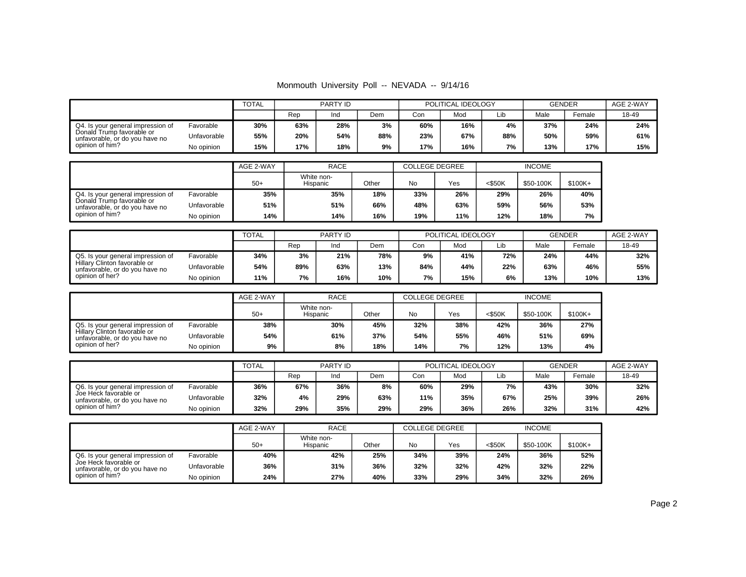| Monmouth University Poll -- NEVADA -- 9/14/16 |  |  |  |  |  |  |
|-----------------------------------------------|--|--|--|--|--|--|
|-----------------------------------------------|--|--|--|--|--|--|

|                                                             |             | <b>TOTAL</b> | PARTY ID |     |     | POLITICAL IDEOLOGY |     | <b>GENDER</b> | AGE 2-WAY |        |       |
|-------------------------------------------------------------|-------------|--------------|----------|-----|-----|--------------------|-----|---------------|-----------|--------|-------|
|                                                             |             |              | Rep      | Ind | Dem | Con                | Mod | Lib           | Male      | Female | 18-49 |
| Q4. Is your general impression of                           | Favorable   | 30%          | 63%      | 28% | 3%  | 60%                | 16% | 4%            | 37%       | 24%    | 24%   |
| Donald Trump favorable or<br>unfavorable, or do you have no | Unfavorable | 55%          | 20%      | 54% | 88% | 23%                | 67% | 88%           | 50%       | 59%    | 61%   |
| opinion of him?                                             | No opinion  | 15%          | 17%      | 18% | 9%  | 17%                | 16% | 7%            | 13%       | 17%    | 15%   |

|                                                             |             | AGE 2-WAY | <b>RACE</b>            |       | <b>COLLEGE DEGREE</b> |     | <b>INCOME</b> |           |          |
|-------------------------------------------------------------|-------------|-----------|------------------------|-------|-----------------------|-----|---------------|-----------|----------|
|                                                             |             | $50+$     | White non-<br>Hispanic | Other | No                    | Yes | $<$ \$50K     | \$50-100K | $$100K+$ |
| Q4. Is your general impression of                           | Favorable   | 35%       | 35%                    | 18%   | 33%                   | 26% | 29%           | 26%       | 40%      |
| Donald Trump favorable or<br>unfavorable, or do you have no | Unfavorable | 51%       | 51%                    | 66%   | 48%                   | 63% | 59%           | 56%       | 53%      |
| opinion of him?                                             | No opinion  | 14%       | 14%                    | 16%   | 19%                   | 11% | 12%           | 18%       | 7%       |

|                                                                |             | TOTAL | PARTY ID |     |     |     | POLITICAL IDEOLOGY |     | <b>GENDER</b> |        | AGE 2-WAY |
|----------------------------------------------------------------|-------------|-------|----------|-----|-----|-----|--------------------|-----|---------------|--------|-----------|
|                                                                |             |       | Rep      | Ind | Dem | Con | Mod                | Lib | Male          | Female | 18-49     |
| Q5. Is your general impression of                              | Favorable   | 34%   | 3%       | 21% | 78% | 9%  | 41%                | 72% | 24%           | 44%    | 32%       |
| Hillary Clinton favorable or<br>unfavorable, or do you have no | Unfavorable | 54%   | 89%      | 63% | 13% | 84% | 44%                | 22% | 63%           | 46%    | 55%       |
| opinion of her?                                                | No opinion  | 11%   | 7%       | 16% | 10% | 7%  | 15%                | 6%  | 13%           | 10%    | 13%       |

|                                                                |             | AGE 2-WAY | <b>RACE</b>            |       | <b>COLLEGE DEGREE</b> |     | <b>INCOME</b> |           |           |
|----------------------------------------------------------------|-------------|-----------|------------------------|-------|-----------------------|-----|---------------|-----------|-----------|
|                                                                |             | $50+$     | White non-<br>Hispanic | Other | No                    | Yes | <\$50K        | \$50-100K | $$100K +$ |
| Q5. Is your general impression of                              | Favorable   | 38%       | 30%                    | 45%   | 32%                   | 38% | 42%           | 36%       | 27%       |
| Hillary Clinton favorable or<br>unfavorable, or do you have no | Unfavorable | 54%       | 61%                    | 37%   | 54%                   | 55% | 46%           | 51%       | 69%       |
| opinion of her?                                                | No opinion  | 9%        | 8%                     | 18%   | 14%                   | 7%  | 12%           | 13%       | 4%        |

|                                                         |             |     | PARTY ID |     |     |     | POLITICAL IDEOLOGY |     | <b>GENDER</b> | AGE 2-WAY |       |
|---------------------------------------------------------|-------------|-----|----------|-----|-----|-----|--------------------|-----|---------------|-----------|-------|
|                                                         |             |     | Rep      | Ind | Dem | Con | Mod                | Lib | Male          | Female    | 18-49 |
| Q6. Is your general impression of                       | Favorable   | 36% | 67%      | 36% | 8%  | 60% | 29%                | 7%  | 43%           | 30%       | 32%   |
| Joe Heck favorable or<br>unfavorable, or do you have no | Unfavorable | 32% | 4%       | 29% | 63% | 11% | 35%                | 67% | 25%           | 39%       | 26%   |
| opinion of him?                                         | No opinion  | 32% | 29%      | 35% | 29% | 29% | 36%                | 26% | 32%           | 31%       | 42%   |

|                                                         |             | AGE 2-WAY | <b>RACE</b>            |       | COLLEGE DEGREE |     | <b>INCOME</b> |           |         |
|---------------------------------------------------------|-------------|-----------|------------------------|-------|----------------|-----|---------------|-----------|---------|
|                                                         |             | $50+$     | White non-<br>Hispanic | Other | No             | Yes | $<$ \$50K     | \$50-100K | \$100K+ |
| Q6. Is your general impression of                       | Favorable   | 40%       | 42%                    | 25%   | 34%            | 39% | 24%           | 36%       | 52%     |
| Joe Heck favorable or<br>unfavorable, or do you have no | Unfavorable | 36%       | 31%                    | 36%   | 32%            | 32% | 42%           | 32%       | 22%     |
| opinion of him?                                         | No opinion  | 24%       | 27%                    | 40%   | 33%            | 29% | 34%           | 32%       | 26%     |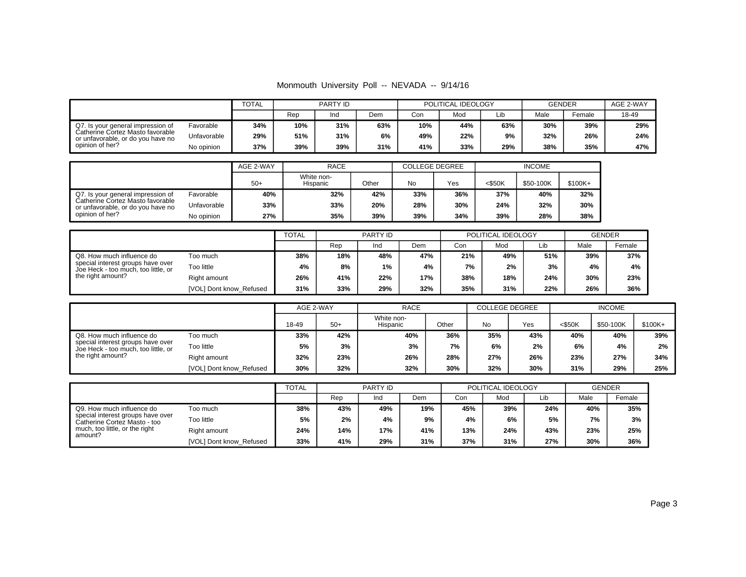| Monmouth University Poll -- NEVADA -- 9/14/16 |  |  |  |  |  |  |
|-----------------------------------------------|--|--|--|--|--|--|
|-----------------------------------------------|--|--|--|--|--|--|

|                                                                       |             | <b>TOTAL</b> | PARTY ID |     |     | POLITICAL IDEOLOGY |     | <b>GENDER</b> |      | AGE 2-WAY |       |
|-----------------------------------------------------------------------|-------------|--------------|----------|-----|-----|--------------------|-----|---------------|------|-----------|-------|
|                                                                       |             |              | Rep      | Ind | Dem | Con                | Mod | Lib           | Male | Female    | 18-49 |
| Q7. Is your general impression of                                     | Favorable   | 34%          | 10%      | 31% | 63% | 10%                | 44% | 63%           | 30%  | 39%       | 29%   |
| Catherine Cortez Masto favorable<br>or unfavorable, or do you have no | Unfavorable | 29%          | 51%      | 31% | 6%  | 49%                | 22% | 9%            | 32%  | 26%       | 24%   |
| opinion of her?                                                       | No opinion  | 37%          | 39%      | 39% | 31% | 41%                | 33% | 29%           | 38%  | 35%       | 47%   |

|                                                                                          |             | <b>RACE</b><br>AGE 2-WAY |                        |       |     | COLLEGE DEGREE | <b>INCOME</b> |           |          |
|------------------------------------------------------------------------------------------|-------------|--------------------------|------------------------|-------|-----|----------------|---------------|-----------|----------|
|                                                                                          |             | $50+$                    | White non-<br>Hispanic | Other | No  | Yes            | $<$ \$50K     | \$50-100K | $$100K+$ |
| Q7. Is your general impression of                                                        | Favorable   | 40%                      | 32%                    | 42%   | 33% | 36%            | 37%           | 40%       | 32%      |
| Catherine Cortez Masto favorable<br>or unfavorable, or do you have no<br>opinion of her? | Unfavorable | 33%                      | 33%                    | 20%   | 28% | 30%            | 24%           | 32%       | 30%      |
|                                                                                          | No opinion  | 27%                      | 35%                    | 39%   | 39% | 34%            | 39%           | 28%       | 38%      |

|                                                                          |                         | <b>TOTAL</b> | PARTY ID |     |     |     | POLITICAL IDEOLOGY | <b>GENDER</b> |      |        |
|--------------------------------------------------------------------------|-------------------------|--------------|----------|-----|-----|-----|--------------------|---------------|------|--------|
|                                                                          |                         |              | Rep      | Ind | Dem | Con | Mod                | Lib           | Male | Female |
| Q8. How much influence do                                                | Too much                | 38%          | 18%      | 48% | 47% | 21% | 49%                | 51%           | 39%  | 37%    |
| special interest groups have over<br>Joe Heck - too much, too little, or | Too little              | 4%           | 8%       | 1%  | 4%  | 7%  | 2%                 | 3%            | 4%   | 4%     |
| the right amount?                                                        | Right amount            | 26%          | 41%      | 22% | 17% | 38% | 18%                | 24%           | 30%  | 23%    |
|                                                                          | [VOL] Dont know Refused | 31%          | 33%      | 29% | 32% | 35% | 31%                | 22%           | 26%  | 36%    |

|                                                                          |                         |       | AGE 2-WAY | <b>RACE</b>            |       | <b>COLLEGE DEGREE</b> |     | <b>INCOME</b> |           |          |
|--------------------------------------------------------------------------|-------------------------|-------|-----------|------------------------|-------|-----------------------|-----|---------------|-----------|----------|
|                                                                          |                         | 18-49 | $50+$     | White non-<br>Hispanic | Other | No                    | Yes | <\$50K        | \$50-100K | $$100K+$ |
| Q8. How much influence do                                                | Too much                | 33%   | 42%       | 40%                    | 36%   | 35%                   | 43% | 40%           | 40%       | 39%      |
| special interest groups have over<br>Joe Heck - too much, too little, or | Too little              | 5%    | 3%        | 3%                     | 7%    | 6%                    | 2%  | 6%            | 4%        | 2%       |
| the right amount?                                                        | Right amount            | 32%   | 23%       | 26%                    | 28%   | 27%                   | 26% | 23%           | 27%       | 34%      |
|                                                                          | [VOL] Dont know Refused | 30%   | 32%       | 32%                    | 30%   | 32%                   | 30% | 31%           | 29%       | 25%      |

|                                                                   |                         | <b>TOTAL</b> | <b>PARTY ID</b> |     |     |     | POLITICAL IDEOLOGY | <b>GENDER</b> |      |        |
|-------------------------------------------------------------------|-------------------------|--------------|-----------------|-----|-----|-----|--------------------|---------------|------|--------|
|                                                                   |                         |              | Rep             | Ind | Dem | Con | Mod                | Lib           | Male | Female |
| Q9. How much influence do                                         | Too much                | 38%          | 43%             | 49% | 19% | 45% | 39%                | 24%           | 40%  | 35%    |
| special interest groups have over<br>Catherine Cortez Masto - too | Too little              | 5%           | 2%              | 4%  | 9%  | 4%  | 6%                 | 5%            | 7%   | 3%     |
| much, too little, or the right<br>amount?                         | Right amount            | 24%          | 14%             | 17% | 41% | 13% | 24%                | 43%           | 23%  | 25%    |
|                                                                   | [VOL] Dont know_Refused | 33%          | 41%             | 29% | 31% | 37% | 31%                | 27%           | 30%  | 36%    |